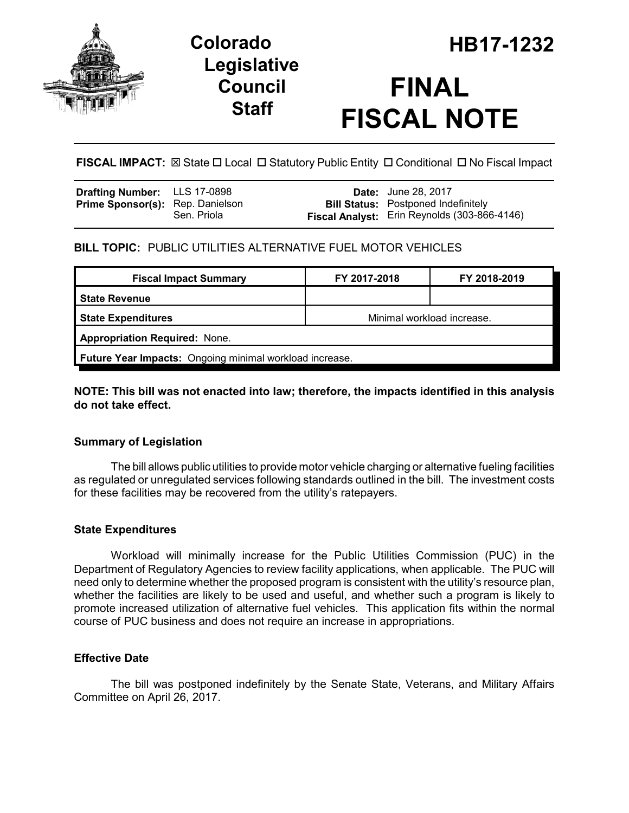

## **Legislative Council Staff**

# **FINAL FISCAL NOTE**

**FISCAL IMPACT:** ⊠ State  $\Box$  Local  $\Box$  Statutory Public Entity  $\Box$  Conditional  $\Box$  No Fiscal Impact

| <b>Drafting Number:</b> LLS 17-0898     |             | <b>Date:</b> June 28, 2017                                                                        |
|-----------------------------------------|-------------|---------------------------------------------------------------------------------------------------|
| <b>Prime Sponsor(s):</b> Rep. Danielson | Sen. Priola | <b>Bill Status:</b> Postponed Indefinitely<br><b>Fiscal Analyst:</b> Erin Reynolds (303-866-4146) |
|                                         |             |                                                                                                   |

#### **BILL TOPIC:** PUBLIC UTILITIES ALTERNATIVE FUEL MOTOR VEHICLES

| <b>Fiscal Impact Summary</b>                            | FY 2017-2018               | FY 2018-2019 |  |  |  |
|---------------------------------------------------------|----------------------------|--------------|--|--|--|
| <b>State Revenue</b>                                    |                            |              |  |  |  |
| <b>State Expenditures</b>                               | Minimal workload increase. |              |  |  |  |
| <b>Appropriation Required: None.</b>                    |                            |              |  |  |  |
| Future Year Impacts: Ongoing minimal workload increase. |                            |              |  |  |  |

#### **NOTE: This bill was not enacted into law; therefore, the impacts identified in this analysis do not take effect.**

#### **Summary of Legislation**

The bill allows public utilities to provide motor vehicle charging or alternative fueling facilities as regulated or unregulated services following standards outlined in the bill. The investment costs for these facilities may be recovered from the utility's ratepayers.

#### **State Expenditures**

Workload will minimally increase for the Public Utilities Commission (PUC) in the Department of Regulatory Agencies to review facility applications, when applicable. The PUC will need only to determine whether the proposed program is consistent with the utility's resource plan, whether the facilities are likely to be used and useful, and whether such a program is likely to promote increased utilization of alternative fuel vehicles. This application fits within the normal course of PUC business and does not require an increase in appropriations.

#### **Effective Date**

The bill was postponed indefinitely by the Senate State, Veterans, and Military Affairs Committee on April 26, 2017.